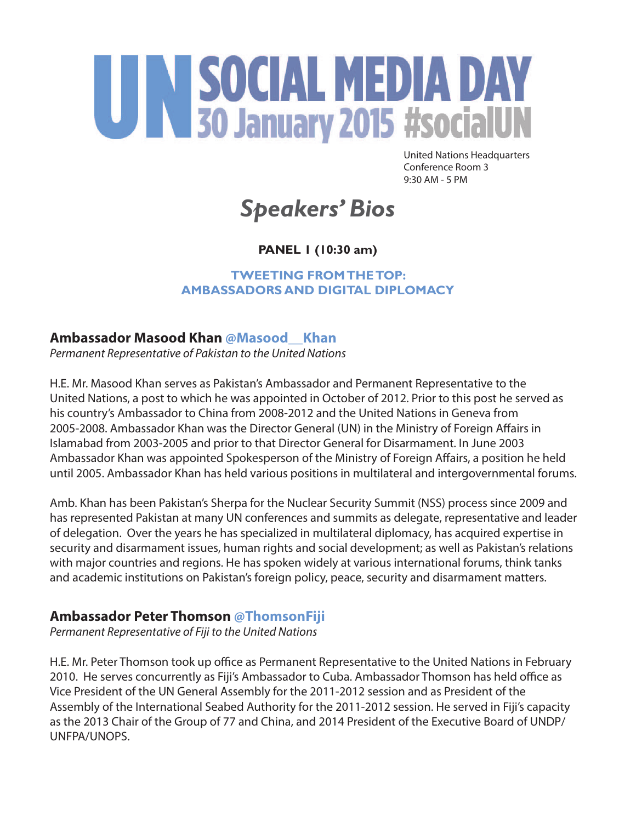# UN SOCIAL MEDIA DAY

United Nations Headquarters Conference Room 3 9:30 AM - 5 PM

# *Speakers' Bios*

# **PANEL 1 (10:30 am)**

**TWEETING FROM THE TOP: AMBASSADORS AND DIGITAL DIPLOMACY** 

## **Ambassador Masood Khan @Masood\_\_Khan**

*Permanent Representative of Pakistan to the United Nations*

H.E. Mr. Masood Khan serves as Pakistan's Ambassador and Permanent Representative to the United Nations, a post to which he was appointed in October of 2012. Prior to this post he served as his country's Ambassador to China from 2008-2012 and the United Nations in Geneva from 2005-2008. Ambassador Khan was the Director General (UN) in the Ministry of Foreign Affairs in Islamabad from 2003-2005 and prior to that Director General for Disarmament. In June 2003 Ambassador Khan was appointed Spokesperson of the Ministry of Foreign Affairs, a position he held until 2005. Ambassador Khan has held various positions in multilateral and intergovernmental forums.

Amb. Khan has been Pakistan's Sherpa for the Nuclear Security Summit (NSS) process since 2009 and has represented Pakistan at many UN conferences and summits as delegate, representative and leader of delegation. Over the years he has specialized in multilateral diplomacy, has acquired expertise in security and disarmament issues, human rights and social development; as well as Pakistan's relations with major countries and regions. He has spoken widely at various international forums, think tanks and academic institutions on Pakistan's foreign policy, peace, security and disarmament matters.

## **Ambassador Peter Thomson @ThomsonFiji**

*Permanent Representative of Fiji to the United Nations*

H.E. Mr. Peter Thomson took up office as Permanent Representative to the United Nations in February 2010. He serves concurrently as Fiji's Ambassador to Cuba. Ambassador Thomson has held office as Vice President of the UN General Assembly for the 2011-2012 session and as President of the Assembly of the International Seabed Authority for the 2011-2012 session. He served in Fiji's capacity as the 2013 Chair of the Group of 77 and China, and 2014 President of the Executive Board of UNDP/ UNFPA/UNOPS.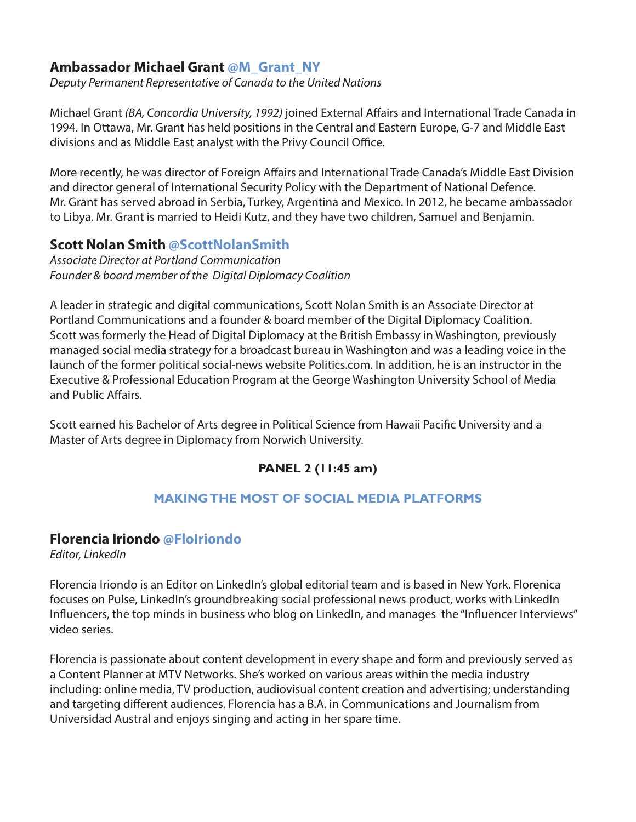#### **Ambassador Michael Grant @M\_Grant\_NY**

*Deputy Permanent Representative of Canada to the United Nations*

Michael Grant *(BA, Concordia University, 1992)* joined External Affairs and International Trade Canada in 1994. In Ottawa, Mr. Grant has held positions in the Central and Eastern Europe, G-7 and Middle East divisions and as Middle East analyst with the Privy Council Office.

More recently, he was director of Foreign Affairs and International Trade Canada's Middle East Division and director general of International Security Policy with the Department of National Defence. Mr. Grant has served abroad in Serbia, Turkey, Argentina and Mexico. In 2012, he became ambassador to Libya. Mr. Grant is married to Heidi Kutz, and they have two children, Samuel and Benjamin.

#### **Scott Nolan Smith @ScottNolanSmith**

*Associate Director at Portland Communication Founder & board member of the Digital Diplomacy Coalition*

A leader in strategic and digital communications, Scott Nolan Smith is an Associate Director at Portland Communications and a founder & board member of the Digital Diplomacy Coalition. Scott was formerly the Head of Digital Diplomacy at the British Embassy in Washington, previously managed social media strategy for a broadcast bureau in Washington and was a leading voice in the launch of the former political social-news website Politics.com. In addition, he is an instructor in the Executive & Professional Education Program at the George Washington University School of Media and Public Affairs.

Scott earned his Bachelor of Arts degree in Political Science from Hawaii Pacific University and a Master of Arts degree in Diplomacy from Norwich University.

## **PANEL 2 (11:45 am)**

#### **MAKING THE MOST OF SOCIAL MEDIA PLATFORMS**

#### **Florencia Iriondo @FloIriondo**

*Editor, LinkedIn*

Florencia Iriondo is an Editor on LinkedIn's global editorial team and is based in New York. Florenica focuses on Pulse, LinkedIn's groundbreaking social professional news product, works with LinkedIn Influencers, the top minds in business who blog on LinkedIn, and manages the "Influencer Interviews" video series.

Florencia is passionate about content development in every shape and form and previously served as a Content Planner at MTV Networks. She's worked on various areas within the media industry including: online media, TV production, audiovisual content creation and advertising; understanding and targeting different audiences. Florencia has a B.A. in Communications and Journalism from Universidad Austral and enjoys singing and acting in her spare time.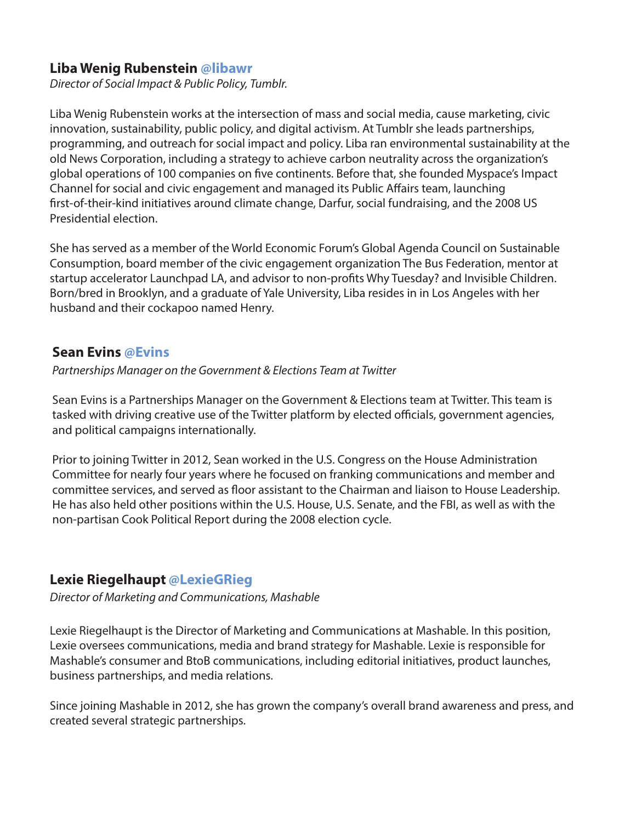#### **Liba Wenig Rubenstein @libawr**

*Director of Social Impact & Public Policy, Tumblr.* 

Liba Wenig Rubenstein works at the intersection of mass and social media, cause marketing, civic innovation, sustainability, public policy, and digital activism. At Tumblr she leads partnerships, programming, and outreach for social impact and policy. Liba ran environmental sustainability at the old News Corporation, including a strategy to achieve carbon neutrality across the organization's global operations of 100 companies on five continents. Before that, she founded Myspace's Impact Channel for social and civic engagement and managed its Public Affairs team, launching first-of-their-kind initiatives around climate change, Darfur, social fundraising, and the 2008 US Presidential election.

She has served as a member of the World Economic Forum's Global Agenda Council on Sustainable Consumption, board member of the civic engagement organization The Bus Federation, mentor at startup accelerator Launchpad LA, and advisor to non-profits Why Tuesday? and Invisible Children. Born/bred in Brooklyn, and a graduate of Yale University, Liba resides in in Los Angeles with her husband and their cockapoo named Henry.

#### **Sean Evins @Evins**

*Partnerships Manager on the Government & Elections Team at Twitter*

Sean Evins is a Partnerships Manager on the Government & Elections team at Twitter. This team is tasked with driving creative use of the Twitter platform by elected officials, government agencies, and political campaigns internationally.

Prior to joining Twitter in 2012, Sean worked in the U.S. Congress on the House Administration Committee for nearly four years where he focused on franking communications and member and committee services, and served as floor assistant to the Chairman and liaison to House Leadership. He has also held other positions within the U.S. House, U.S. Senate, and the FBI, as well as with the non-partisan Cook Political Report during the 2008 election cycle.

#### **Lexie Riegelhaupt @LexieGRieg**

*Director of Marketing and Communications, Mashable* 

Lexie Riegelhaupt is the Director of Marketing and Communications at Mashable. In this position, Lexie oversees communications, media and brand strategy for Mashable. Lexie is responsible for Mashable's consumer and BtoB communications, including editorial initiatives, product launches, business partnerships, and media relations.

Since joining Mashable in 2012, she has grown the company's overall brand awareness and press, and created several strategic partnerships.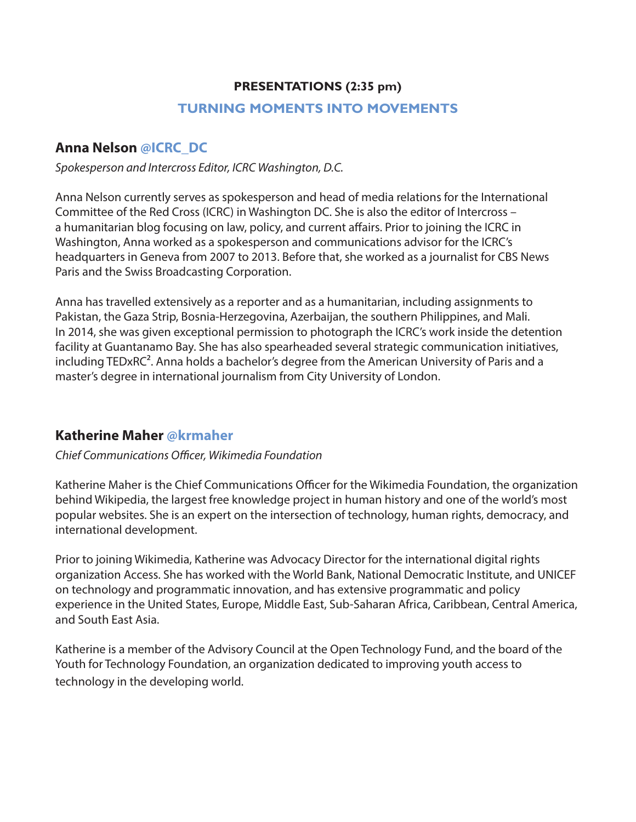#### **PRESENTATIONS (2:35 pm)**

#### **TURNING MOMENTS INTO MOVEMENTS**

## **Anna Nelson @ICRC\_DC**

*Spokesperson and Intercross Editor, ICRC Washington, D.C.*

Anna Nelson currently serves as spokesperson and head of media relations for the International Committee of the Red Cross (ICRC) in Washington DC. She is also the editor of Intercross – a humanitarian blog focusing on law, policy, and current affairs. Prior to joining the ICRC in Washington, Anna worked as a spokesperson and communications advisor for the ICRC's headquarters in Geneva from 2007 to 2013. Before that, she worked as a journalist for CBS News Paris and the Swiss Broadcasting Corporation.

Anna has travelled extensively as a reporter and as a humanitarian, including assignments to Pakistan, the Gaza Strip, Bosnia-Herzegovina, Azerbaijan, the southern Philippines, and Mali. In 2014, she was given exceptional permission to photograph the ICRC's work inside the detention facility at Guantanamo Bay. She has also spearheaded several strategic communication initiatives, including TEDxRC². Anna holds a bachelor's degree from the American University of Paris and a master's degree in international journalism from City University of London.

#### **Katherine Maher @krmaher**

#### *Chief Communications Officer, Wikimedia Foundation*

Katherine Maher is the Chief Communications Officer for the Wikimedia Foundation, the organization behind Wikipedia, the largest free knowledge project in human history and one of the world's most popular websites. She is an expert on the intersection of technology, human rights, democracy, and international development.

Prior to joining Wikimedia, Katherine was Advocacy Director for the international digital rights organization Access. She has worked with the World Bank, National Democratic Institute, and UNICEF on technology and programmatic innovation, and has extensive programmatic and policy experience in the United States, Europe, Middle East, Sub-Saharan Africa, Caribbean, Central America, and South East Asia.

Katherine is a member of the Advisory Council at the Open Technology Fund, and the board of the Youth for Technology Foundation, an organization dedicated to improving youth access to technology in the developing world.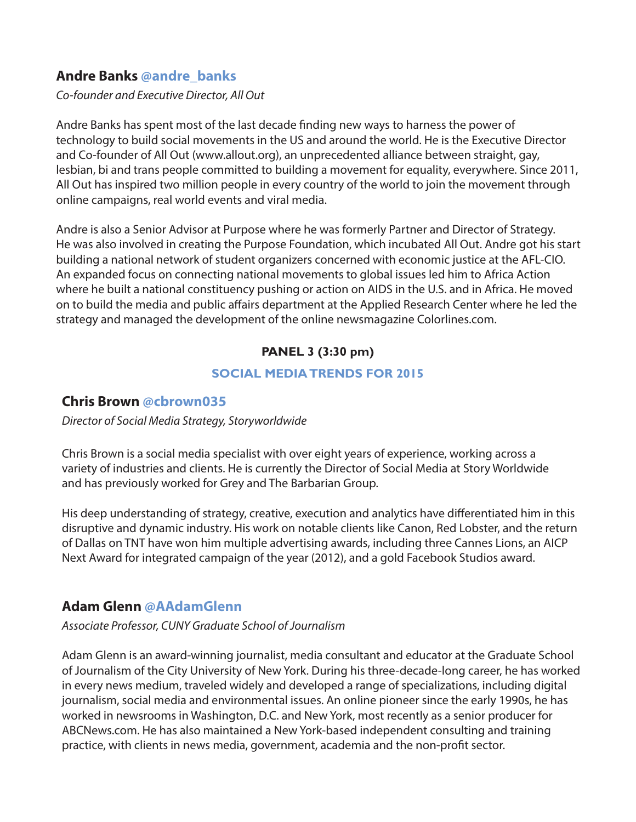## **Andre Banks @andre\_banks**

*Co-founder and Executive Director, All Out*

Andre Banks has spent most of the last decade finding new ways to harness the power of technology to build social movements in the US and around the world. He is the Executive Director and Co-founder of All Out (www.allout.org), an unprecedented alliance between straight, gay, lesbian, bi and trans people committed to building a movement for equality, everywhere. Since 2011, All Out has inspired two million people in every country of the world to join the movement through online campaigns, real world events and viral media.

Andre is also a Senior Advisor at Purpose where he was formerly Partner and Director of Strategy. He was also involved in creating the Purpose Foundation, which incubated All Out. Andre got his start building a national network of student organizers concerned with economic justice at the AFL-CIO. An expanded focus on connecting national movements to global issues led him to Africa Action where he built a national constituency pushing or action on AIDS in the U.S. and in Africa. He moved on to build the media and public affairs department at the Applied Research Center where he led the strategy and managed the development of the online newsmagazine Colorlines.com.

#### **PANEL 3 (3:30 pm)**

#### **SOCIAL MEDIA TRENDS FOR 2015**

#### **Chris Brown @cbrown035**

*Director of Social Media Strategy, Storyworldwide*

Chris Brown is a social media specialist with over eight years of experience, working across a variety of industries and clients. He is currently the Director of Social Media at Story Worldwide and has previously worked for Grey and The Barbarian Group.

His deep understanding of strategy, creative, execution and analytics have differentiated him in this disruptive and dynamic industry. His work on notable clients like Canon, Red Lobster, and the return of Dallas on TNT have won him multiple advertising awards, including three Cannes Lions, an AICP Next Award for integrated campaign of the year (2012), and a gold Facebook Studios award.

# **Adam Glenn @AAdamGlenn**

*Associate Professor, CUNY Graduate School of Journalism*

Adam Glenn is an award-winning journalist, media consultant and educator at the Graduate School of Journalism of the City University of New York. During his three-decade-long career, he has worked in every news medium, traveled widely and developed a range of specializations, including digital journalism, social media and environmental issues. An online pioneer since the early 1990s, he has worked in newsrooms in Washington, D.C. and New York, most recently as a senior producer for ABCNews.com. He has also maintained a New York-based independent consulting and training practice, with clients in news media, government, academia and the non-profit sector.